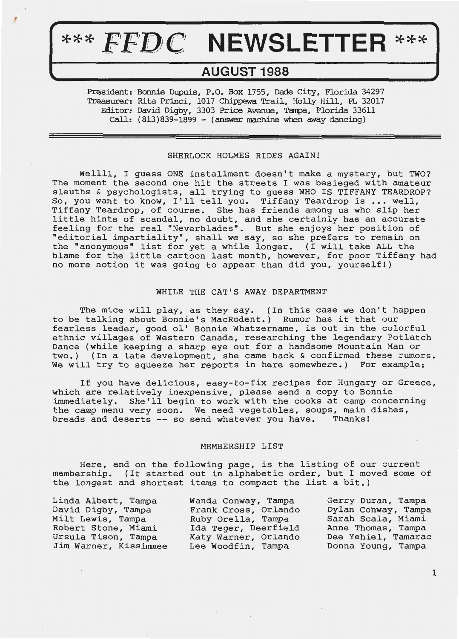# \*\*\* FFDC NEWSLETTER \*\*\*

罗

# **AUGUST 1988**

President: Bonnie Dupuis, P.O. Box 1755, Dade City, Florida 34297 Treasurer: Rita Princi, 1017 Chippewa Trail, Holly Hill, FL 32017 Editor: David Digby, 3303 Price Avenue, Tampa, Florida 33611  $Call: (813)839-1899 - (answer machine when away dancing)$ 

## SHERLOCK HOLMES RIDES AGAIN!

Wellll, I guess ONE installment doesn't make a mystery, but TWO? The moment the second one hit the streets I was besieged with amateur sleuths & psychologists, all trying to guess WHO IS TIFFANY TEARDROP? sleutns & psychologists, all trying to guess who is Tiffany ThakDRO.<br>So, you want to know, I'll tell you. Tiffany Teardrop is ... well, Tiffany Teardrop, of course. She has friends among us who slip her little hints of scandal, no doubt, and she certainly has an accurate feeling for the real "Neverblades". But she enjoys her position of "editorial impartiality", shall we say, so she prefers to remain on the "anonymous" list for yet a while longer. (I will take ALL the blame for the little cartoon last month, however, for poor Tiffany had no more notion it was going to appear than did you, yourself!)

# WHILE THE CAT'S **AWAY** DEPARTMENT

The mice will play, as they say. (In this case we don't happen to be talking about Bonnie's MacRodent.) Rumor has it that our fearless leader, good ol' Bonnie Whatzername, is out in the colorful ethnic villages of Western Canada, researching the legendary Potlatch Dance (while keeping a sharp eye out for a handsome Mountain Man or two.) (In a late development, she came back & confirmed these rumors. We will try to squeeze her reports in here somewhere.) For example:

If you have delicious, easy-to-fix recipes for Hungary or Greece, which are relatively inexpensive, please send a copy to Bonnie immediately. She'll begin to work with the cooks at camp concerning the camp menu very soon. We need vegetables, soups, main dishes,<br>breads and deserts -- so send whatever you have. Thanks! breads and deserts -- so send whatever you have.

#### MEMBERSHIP LIST

Here, and on the following page, is the listing of our current membership. (It started out in alphabetic order, but I moved some of the longest and shortest items to compact the list a bit.)

| Linda Albert, Tampa   | Wanda Conway, Tampa  | Gerry Duran, Tampa  |
|-----------------------|----------------------|---------------------|
| David Digby, Tampa    | Frank Cross, Orlando | Dylan Conway, Tampa |
| Milt Lewis, Tampa     | Ruby Orella, Tampa   | Sarah Scala, Miami  |
| Robert Stone, Miami   | Ida Teger, Deerfield | Anne Thomas, Tampa  |
| Ursula Tison, Tampa   | Katy Warner, Orlando | Dee Yehiel, Tamarac |
| Jim Warner, Kissimmee | Lee Woodfin, Tampa   | Donna Young, Tampa  |

1

..,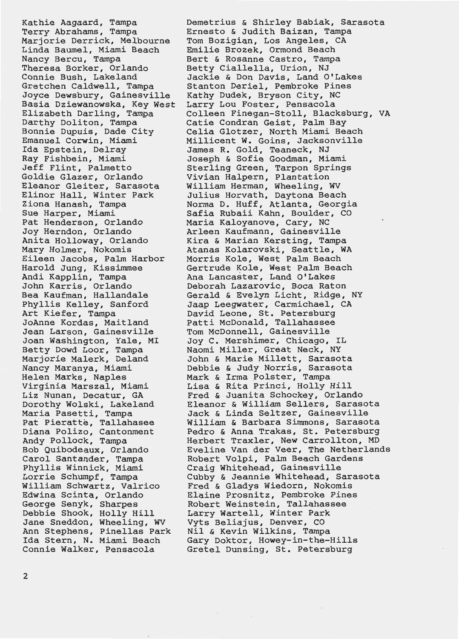Kathie Aagaard, Tampa Terry Abrahams, Tampa Marjorie Derrick, Melbourne Linda Baumel, Miami Beach Nancy Bercu, Tampa Theresa Borker, Orlando Connie Bush, Lakeland Gretchen Caldwell, Tampa Joyce Dewsbury, Gainesville Basia Dziewanowska, Key West Elizabeth Darling, Tampa Darthy Doliton, Tampa Bonnie Dupuis, Dade City Emanuel Corwin, *Miami*  Ida Epstein, Delray Ray Fishbein, *Miami*  Jeff Flint, Palmetto Goldie Glazer, Orlando Eleanor Gleiter, Sarasota Elinor Hall, Winter Park Ziona Hanash, Tampa Sue Harper, *Miami*  Pat Henderson, Orlando Joy Herndon, Orlando Anita Holloway, Orlando Mary Holmer, Nokomis Eileen Jacobs, Palm Harbor Harold Jung, *Kissimmee*  Andi Kapplin, Tampa John Karris, Orlando Bea Kaufman, Hallandale Phyllis Kelley, Sanford Art Kiefer, Tampa JoAnne Kordas, Maitland Jean Larson, Gainesville Joan Washington, Yale, MI Betty Dowd Loor, Tampa Marjorie Malerk, Deland Nancy Maranya, *Miami*  Helen Marks, Naples Virginia Marszal, *Miami*  Liz Nunan, Decatur, GA Dorothy Wolski, Lakeland Maria Pasetti, Tampa Pat Pieratte, Tallahasee Diana Polizo, Cantonment Andy Pollock, Tampa Bob Quibodeaux, Orlando Carol Santander, Tampa Phyllis **Winnick,** *Miami*  Lorrie Schumpf, Tampa William Schwartz, Valrico Edwina Scinta, Orlando George Senyk, Sharpes Debbie Shook, Holly Hill Jane Sneddon, Wheeling, WV Ann Stephens, Pinellas Park Ida Stern, N. *Miami* Beach Connie Walker, Pensacola

Demetrius & Shirley Babiak, Sarasota Ernesto & Judith Baizan, Tampa Tom *Bozigian,* Los Angeles, CA Emilie Brozek, Ormond Beach Bert & Rosanne Castro, Tampa Betty Ciallella, Urion, NJ Jackie & Don Davis, Land O'Lakes Stanton Deriel, Pembroke Pines Kathy Dudek, Bryson City, NC Larry Lou Foster, Pensacola Colleen Finegan-Stoll, Blacksburg, VA Catie Condran Geist, Palm Bay Celia Glotzer, North *Miami* Beach Millicent W. Goins, Jacksonville James R. Gold, Teaneck, NJ Joseph & Sofie Goodman, *Miami*  Sterling Green, Tarpon Springs Vivian Halpern, Plantation William Herman, Wheeling, WV Julius Horvath, Daytona Beach Norma D. Huff, Atlanta, Georgia Safia Rubaii Kahn, Boulder, CO Maria Kaloyanove, Cary, NC Arleen Kaufmann, Gainesville Kira & Marian Kersting, Tampa Atanas Kolarovski, Seattle, WA Morris Kole, West Palm Beach Gertrude Kole, West Palm Beach **Ana Lancaster, Land O'Lakes**  Deborah Lazarovic, Boca Raton **Gerald** & **Evelyn Licht, Ridge, NY**  Jaap Leegwater, Carmichael, CA David Leone, St. Petersburg Patti McDonald, Tallahassee Tom McDonnell, Gainesville Joy C. Mershimer, Chicago, IL *Naomi* Miller, Great Neck, NY John & Marie Millett, Sarasota Debbie & Judy Norris, Sarasota Mark & Irma Polster, Tampa Lisa & Rita Princi, Holly Hill Fred &-Juanita Schockey, Orlando Eleanor & William Sellers, Sarasota Jack & Linda Seltzer, Gainesville William & Barbara Simmons, Sarasota Pedro & Anna Trakas, St. Petersburg Herbert Traxler, New Carrollton, MD Eveline Van der Veer, The Netherlands Robert Volpi, Palm Beach Gardens Craig Whitehead, Gainesville Cubby & Jeannie Whitehead, Sarasota Fred & Gladys Wiedorn, Nokomis Elaine Prosnitz, Pembroke Pines Robert Weinstein, Tallahassee Larry Wartell, Winter Park Vyts Beliajus, Denver, CO Nil & Kevin Wilkins, Tampa Gary Doktor, Howey-in-the-Hills Gretel Dunsing, St. Petersburg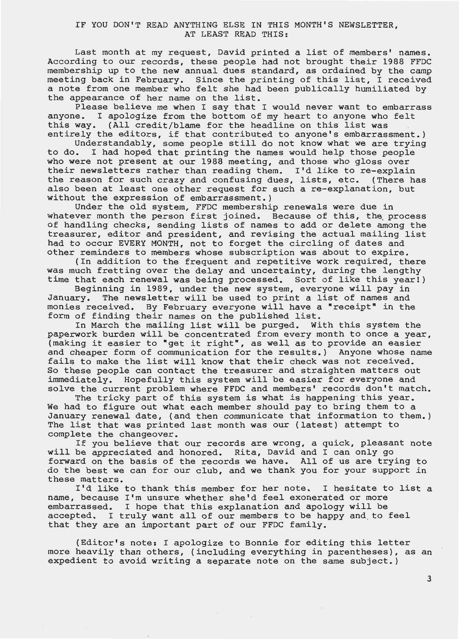# IF YOU DON'T READ ANYTHING ELSE IN THIS MONTH'S NEWSLETTER, AT LEAST READ THIS:

Last month at my request, David printed a list of members' names. According to our records, these people had not brought their 1988 FFDC membership up to the new annual dues standard, as ordained by the camp meeting back in February. Since the printing of this list, I received a note from one member who felt she had been publically humiliated by the appearance of her name on the list.

Please believe me when I say that I would never want to embarrass<br>anyone. I apologize from the bottom of my heart to anyone who felt I apologize from the bottom of my heart to anyone who felt this way. (All credit/blame for the headline on this list was entirely the editors, if that contributed to anyone's embarrassment.)

Understandably, some people still do not know what we are trying<br>to do. I had hoped that printing the names would help those people I had hoped that printing the names would help those people who were not present at our 1988 meeting, and those who gloss over their newsletters rather than reading them. I'd like to re-explain the reason for such crazy and confusing dues, lists, etc. (There has also been at least one other request for such a re-explanation, but without the expression of embarrassment.)

Under the old system, FFDC membership renewals were due in whatever month the person first joined. Because of this, the process of handling checks, sending lists of names to add or delete among the treasurer, editor and president, and revising the actual mailing list had to occur EVERY MONTH, not to forget the circling of dates and other reminders to members whose subscription was about to expire.

(In addition to the frequent and repetitive work required, there was much fretting over the delay and uncertainty, during the lengthy time that each renewal was being processed. Sort of like this yearl)

Beginning in 1989, under the new system, everyone will pay in January. The newsletter will be used to print a list of names and monies received. By February everyone will have a "receipt" in the form of finding their names on the published list.

In March the mailing list will be purged. With this system the paperwork burden will be concentrated from every month to once a year, (making it easier to "get it right", as well as to provide an easier and cheaper form of communication for the results.) Anyone whose name fails to make the list will know that their check was not received. So these people can contact the treasurer and straighten matters out immediately. Hopefully this system will be easier for everyone and solve the current problem where FFDC and members' records don't match.

The tricky part of this system is what is happening this year. We had to figure out what each member should pay to bring them to a January renewal date, (and then communicate that information to them.) The list that was printed last month was our (latest) attempt to complete the changeover.

If you believe that our records are wrong, a quick, pleasant note will be appreciated and honored. Rita, David and I can only go forward on the basis of the records we have. All of us are trying to do the best we can for our club, and we thank you for your support in these matters.

I'd like to thank this member for her note. I hesitate to list a name, because I'm unsure whether she'd feel exonerated or more embarrassed. I hope that this explanation and apology will be accepted. I truly want all of our members to be happy and to feel that they are an important part of our FFDC family.

(Editor's note: I apologize to Bonnie for editing this letter more heavily than others, (including everything in parentheses), as an expedient to avoid writing a separate note on the same subject.)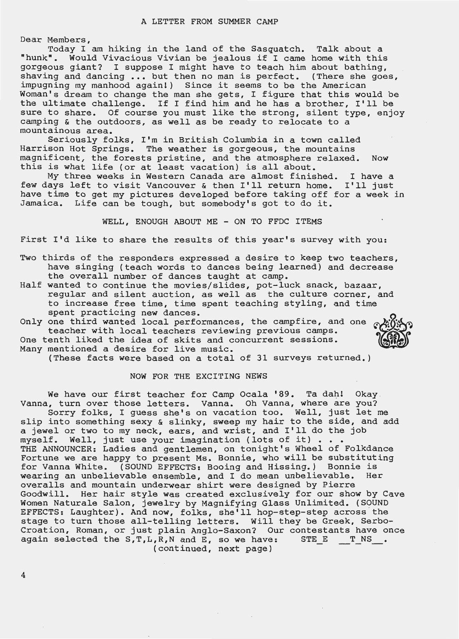Dear Members,

Today I am hiking in the land of the Sasquatch. Talk about a "hunk". Would Vivacious Vivian be jealous if I came home with this gorgeous giant? I suppose I might have to teach him about bathing, shaving and dancing ... but then no man is perfect. (There she goes, impugning my manhood again!) Since it seems to be the American Woman's dream to change the man she gets, I figure that this would be the ultimate challenge. If I find him and he has a brother, I'll be sure to share. Of course you must like the strong, silent type, enjoy camping & the outdoors, as well as be ready to relocate to a mountainous area.

Seriously folks, I'm in British Columbia in a town called Harrison Hot Springs. The weather is gorgeous, the mountains magnificent, the forests pristine, and the atmosphere relaxed. Now magnificant, the forests priscine, and the demosphere.

My three weeks in Western Canada are almost finished. I have a few days left to visit Vancouver & then I'll return home. I'll just have time to get my pictures developed before taking off for a week in Jamaica. Life can be tough, but somebody's got to do it.

WELL, ENOUGH ABOUT ME - ON TO FFDC ITEMS

First I'd like to share the results of this year's survey with you:

- Two thirds of the responders expressed a desire to keep two teachers, have singing (teach words to dances being learned) and decrease the overall number of dances taught at camp.
- Half wanted to continue the movies/slides, pot-luck snack, bazaar, regular and silent auction, as well as the culture corner, and to increase free time, time spent teaching styling, and time spent practicing new dances.
- Only one third wanted local performances, the campfire, and one  $\alpha$ teacher with local teachers reviewing previous camps. One tenth liked the idea of skits and concurrent sessions. Many mentioned a desire for live music.
	- (These facts were based on a total of 31 surveys returned.)

# NOW FOR THE EXCITING **NEWS**

We have our first teacher for Camp Ocala '89. Ta dah! Okay . Vanna, turn over those letters. Vanna. Oh Vanna, where are you? Sorry folks, I guess she's on vacation too. Well, just let me slip into something sexy & slinky, sweep my hair to the side, and add a jewel or two to my neck, ears, and wrist, and I'll do the job myself. Well, just use your imagination (lots of it) . . THE ANNOUNCER: Ladies and gentlemen, on tonight's Wheel of Folkdance Fortune we are happy to present Ms. Bonnie, who will be substituting for Vanna White. (SOUND EFFECTS: Booing and Hissing.) Bonnie is<br>wearing an unbelievable ensemble, and I do mean unbelievable. Her wearing an unbelievable ensemble, and I do mean unbelievable. overalls and mountain underwear shirt were designed by Pierre Goodwill. Her hair style was created exclusively for our show by Cave Women Naturale Salon, jewelry by Magnifying Glass Unlimited. (SOUND EFFECTS: Laughter). And now, folks, she'll hop-step-step across the stage to turn those all-telling letters. Will they be Greek, Serbo-Croation, Roman, or just plain Anglo-Saxon? Our contestants have once again selected the  $S, T, L, R, N$  and  $E$ , so we have:  $STE \t T_N S$ . (continued, next page)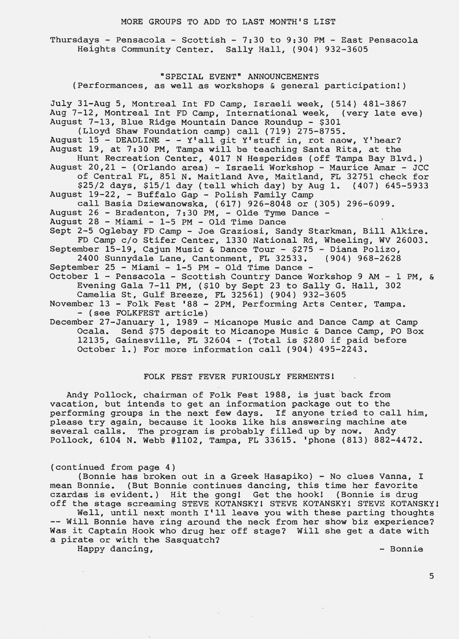#### MORE GROUPS TO ADD TO LAST MONTH'S LIST

Thursdays - Pensacola - Scottish - 7:30 to 9:30 PM - East Pensacola Heights Community Center. Sally Hall, (904) 932-3605

**"SPECIAL EVENT" ANNOUNCEMENTS** (Performances, as well as workshops & general participation!) July 31-Aug 5, Montreal Int FD Camp, Israeli week, (514) 481-3867 Aug 7-12, Montreal Int FD Camp, International week, August 7-13, Blue Ridge Mountain Dance Roundup - \$301 (Lloyd Shaw Foundation camp) call (719) 275-8755. August 15 - DEADLINE - - Y'all git Y'stuff in, rot naow, Y'hear? August 19, at 7:30 PM, Tampa will be teaching Santa Rita, at the Hunt Recreation Center, 4017 N Hesperides (off Tampa Bay Blvd.) August 20,21 - (Orlando area) - Israeli Workshop - Maurice Amar - JCC of Central FL, 851 N. Maitland Ave, Maitland, FL 32751 check for \$25/2 days, \$15/1 day (tell which day) by Aug 1. (407) 645-5933 August 19-22, - Buffalo Gap - Polish Family Camp call Basia Dziewanowska, (617) 926-8048 or (305) 296-6099. August 26 - Bradenton, 7:30 PM, - Olde Tyme Dance - August 28 - Miami - 1-5 PM - Old Time Dance Sept 2-5 Oglebay FD Camp - Joe Graziosi, Sandy Starkman, Bill Alkire. FD Camp c/o Stifer Center, 1330 National Rd, Wheeling, WV 26003. September 15-19, Cajun Music & Dance Tour - \$275 - Diana Polizo,<br>2400 Sunnydale Lane, Cantonment, FL 32533. (904) 968-2628 2400 Sunnydale Lane, Cantonment, FL 32533. September 25 - Miami - 1-5 PM - Old Time Dance - October 1 - Pensacola - Scottish Country Dance Workshop 9 AM - 1 PM, & Evening Gala 7-11 PM, (\$10 by Sept 23 to Sally G. Hall, 302 Camelia St, Gulf Breeze, FL 32561) (904) 932-3605 November 13 - Folk Fest '88 - 2PM, Performing Arts Center, Tampa. - (see FOLKFEST article) December 27-January 1, 1989 - Micanope Music and Dance Camp at Camp Ocala. Send \$75 deposit to Micanope Music & Dance Camp, PO Box 12135, Gainesville, FL 32604 - (Total is \$280 if paid before October 1.) For more information call (904) 495-2243.

# FOLK FEST FEVER FURIOUSLY FERMENTS!

Andy Pollock, chairman of Folk Fest 1988, is just back from vacation, but intends to get an information package out to the vacation, but intends to get an information package out to the moment performing groups in the next few days. If anyone tried to call him, performing groups in the next few days. If anyone tried to call f<br>please try again, because it looks like his answering machine ate predse try again, because it fooks fike his diswering machine at Pollock, 6104 N. Webb #1102, Tampa, FL 33615. 'phone (813) 882-4472.

### (continued from page 4)

(Bonnie has broken out in a Greek Hasapiko) - No clues Vanna, I mean Bonnie. (But Bonnie continues dancing, this time her favorite czardas is evident.) Hit the gong! Get the hook! (Bonnie is drug off the stage screaming STEVE KOTANSKY1 STEVE KOTANSKY! STEVE KOTANSKYl

Well, until next month I'll leave you with these parting thoughts -- Will Bonnie have ring around the neck from her show biz experience? Was it Captain Hook who drug her off stage? Will she get a date with a pirate or with the Sasquatch?

 $\sim$ 

Happy dancing, the bonnie of the bonnie of the Bonnie of the Bonnie of the Bonnie of the Bonnie of the Bonnie o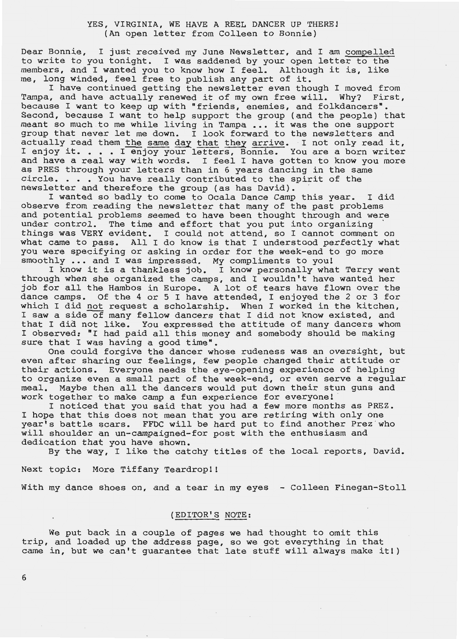Dear Bonnie, I just received my June Newsletter, and I am compelled to write to you tonight. I was saddened by your open letter to the members, and I wanted you to know how I feel. Although it is, like me, long winded, feel free to publish any part of it.

I have continued getting the newsletter even though I moved from Tampa, and have actually renewed it of my own free will. Why? First, because I want to keep up with "friends, enemies, and folkdancers". Second, because I want to help support the group (and the people) that second, because I want to help support the group (and the people) the<br>meant so much to me while living in Tampa ... it was the one support group that never let me down. I look forward to the newsletters and actually read them the same day that they arrive. I not only read it, I enjoy it. . . . I enjoy your letters, Bonnie. You are a born writer and have a real way with words. I feel I have gotten to know you more as PRES through your letters than in 6 years dancing in the same circle. . . . You have really contributed to the spirit of the newsletter and therefore the group (as has David).

I wanted so badly to come to Ocala Dance Camp this year. I did observe from reading the newsletter that many of the past problems and potential problems seemed to have been thought through and were under control. The time and effort that you put into organizing things was VERY evident. I could not attend, so I cannot comment on what came to pass. All I do know is that I understood perfectly what you were specifying or asking in order for the week-end to go more smoothly ... and I was impressed. My compliments to you!

I know it is a thankless job. I know personally what Terry went through when she organized the camps, and I wouldn't have wanted her job for all the Hambos in Europe. A lot of tears have flown over the dance camps. Of the 4 or 5 I have attended, I enjoyed the 2 or 3 for which I did not request a scholarship. When I worked in the kitchen, I saw a side of many fellow dancers that I did not know existed, and that I did not like. You expressed the attitude of many dancers whom I observed: "I had paid all this money and somebody should be making sure that I was having a good time".

One could forgive the dancer whose rudeness was an oversight, but even after sharing our feelings, few people changed their attitude or their actions. Everyone needs the eye-opening experience of helping to organize even a small part of the week-end, or even serve a regular meal. Maybe then all the dancers would put down their stun guns and work together to make camp a fun experience for everyone!

I noticed that you said that you had a few more months as PREZ. I hope that this does not mean that you are retiring with only one year's battle scars. FFDC will be hard put to find another Prez who will shoulder an un-campaigned-for post with the enthusiasm and dedication that you have shown.

By the way, I like the catchy titles of the local reports, David.

Next topic: More Tiffany Teardropll

With my dance shoes on, and a tear in my eyes - Colleen Finegan-Stoll

# (EDITOR'S NOTE:

We put back in a couple of pages we had thought to omit this trip, and loaded up the address page, so we got everything in that city, and fouded up the dudiess page, so we got everything in that<br>came in, but we can't guarantee that late stuff will always make it!)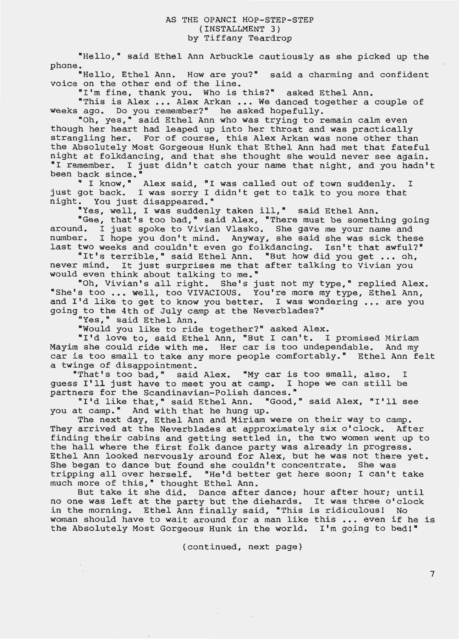"Hello," said Ethel Ann Arbuckle cautiously as she picked up the phone.

"Hello, Ethel Ann. How are you?" said a charming and confident voice on the other end of the line.

"I'm fine, thank you. Who is this?" asked Ethel Ann.

"This is Alex ... Alex Arkan ... We danced together a couple of weeks ago. Do you remember?" he asked hopefully.

"Oh, yes," said Ethel Ann who was trying to remain calm even though her heart had leaped up into her throat and was practically strangling her. For of course, this Alex Arkan was none other than the Absolutely Most Gorgeous Hunk that Ethel Ann had met that fateful night at folkdancing, and that she thought she would never see again. •I remember. I just didn't catch your name that night, and you hadn't been back since.<sup>•</sup>

back since."<br>" I know," Alex said, "I was called out of town suddenly. I just got back. I was sorry I didn't get to talk to you more that night. You just disappeared."

•Yes, well, I was suddenly taken ill," said Ethel Ann.

"Gee, that's too bad," said Alex, "There must be something going around. I just spoke to Vivian Vlasko. She gave me your name and number. I hope you don't mind. Anyway, she said she was sick these last two weeks and couldn't even go folkdancing. Isn't that awful?•

"It's terrible," said Ethel Ann. "But how did you get •.• oh, never mind. It just surprises me that after talking to Vivian you would even think about talking to me."

"Oh, Vivian's all right. She's just not my type," replied Alex. "She's too ... well, too VIVACIOUS. You're more my type, Ethel Ann, and I'd like to get to know you better. I was wondering ... are you going to the 4th of July camp at the Neverblades?"

"Yes," said Ethel Ann.

•would you like to ride together?" asked Alex.

"I'd love to, said Ethel Ann, "But I can't. I promised Miriam Mayim she could ride with me. Her car is too undependable. And my car is too small to take any more people comfortably." Ethel Ann felt a twinge of disappointment.

"That's too bad," said Alex. "My car is too small, also. I guess I'll just have to meet you at camp. I hope we can still be partners for the Scandinavian-Polish dances."

"I'd like that," said Ethel Ann. "Good," said Alex, "I'll see you at camp." And with that he hung up.

The next day, Ethel Ann and Miriam were on their way to camp. They arrived at the Neverblades at approximately six o'clock. After finding their cabins and getting settled in, the two women went up to the hall where the first folk dance party was already in progress. Ethel Ann looked nervously around for Alex, but he was not there yet. She began to dance but found she couldn't concentrate. She was tripping all over herself. "He'd better get here soon; I can't take much more of this," thought Ethel Ann.

But take it she did. Dance after dance; hour after hour; until no one was left at the party but the diehards. It was three o'clock in the morning. Ethel Ann finally said, "This is ridiculous! No woman should have to wait around for a man like this ... even if he is the Absolutely Most Gorgeous Hunk in the world. I'm going to bed!"

(continued, next page)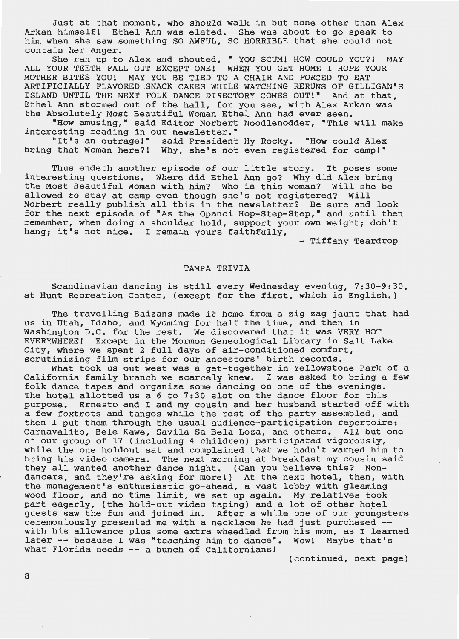Just at that moment, who should walk in but none other than Alex Arkan himself! Ethel Ann was elated. She was about to go speak to him when she saw something SO AWFUL, SO HORRIBLE that she could not contain her anger.

She ran up to Alex and shouted, "YOU SCUM! HOW COULD YOU?! MAY ALL YOUR TEETH FALL OUT EXCEPT ONE! WHEN YOU GET HOME I HOPE YOUR MOTHER BITES YOU! MAY YOU BE TIED TO A CHAIR AND FORCED TO EAT ARTIFICIALLY FLAVORED SNACK CAKES WHILE WATCHING RERUNS OF GILLIGAN'S ISLAND UNTIL THE NEXT FOLK DANCE DIRECTORY COMES OUT!" And at that, Ethel Ann stormed out of the hall, for you see, with Alex Arkan was the Absolutely Most Beautiful Woman Ethel Ann had ever seen.

•How amusing,• said Editor Norbert Noodlenodder, •This will make interesting reading in our newsletter."

"It's an outrage!" said President Hy Rocky. "How could Alex bring that Woman here?! Why, she's not even registered for campl"

Thus endeth another episode of our little story. It poses some interesting questions. Where did Ethel Ann go? Why did Alex bring the Most Beautiful Woman with him? Who is this woman? Will she be allowed to stay at camp even though she's not registered? Will Norbert really publish all this in the newsletter? Be sure and look for the next episode of "As the Opanci Hop-Step-Step," and until then remember, when doing a shoulder hold, support your own weight; don't hang; it's not nice. I remain yours faithfully,

- Tiffany Teardrop

### **TAMPA TRIVIA**

Scandinavian dancing is still every Wednesday evening, 7:30-9:30, at Hunt Recreation Center, (except for the first, which is English.)

The travelling Baizans made it home from a zig zag jaunt that had us in Utah, Idaho, and Wyoming for half the time, and then in Washington D.C. for the rest. We discovered that it was VERY HOT EVERYWHERE! Except in the Mormon Genealogical Library in Salt Lake City, where we spent 2 full days of air-conditioned comfort, scrutinizing film strips for our ancestors' birth records.

What took us out west was a get-together in Yellowstone Park of a California family branch we scarcely knew. I was asked to bring a few folk dance tapes and organize some dancing on one of the evenings. The hotel allotted us a 6 to 7:30 slot on the dance floor for this purpose. Ernesto and I and my cousin and her husband started off with a few foxtrots and tangos while the rest of the party assembled, and then I put them through the usual audience-participation repertoire: Carnavalito, Bele Kawe, Savila Sa Bela Loza, and others. All but one of our group of 17 (including 4 children) participated vigorously, while the one holdout sat and complained that we hadn't warned him to bring his video camera. The next morning at breakfast my cousin said they all wanted another dance night. (Can you believe this? Nondancers, and they're asking for more!) At the next hotel, then, with the management's enthusiastic go-ahead, a vast lobby with gleaming wood floor, and no time limit, we set up again. My relatives took part eagerly, (the hold-out video taping) and a lot of other hotel guests saw the fun and joined in. After a while one of our youngsters ceremoniously presented me with a necklace he had just purchased -ceremoniously presented me with a necklace he had just purchased -- with his allowance plus some extra wheedled from his mom, as I learned later -- because I was "teaching him to dance". Wow! Maybe that's what Florida needs -- a bunch of Californians!

(continued, next page)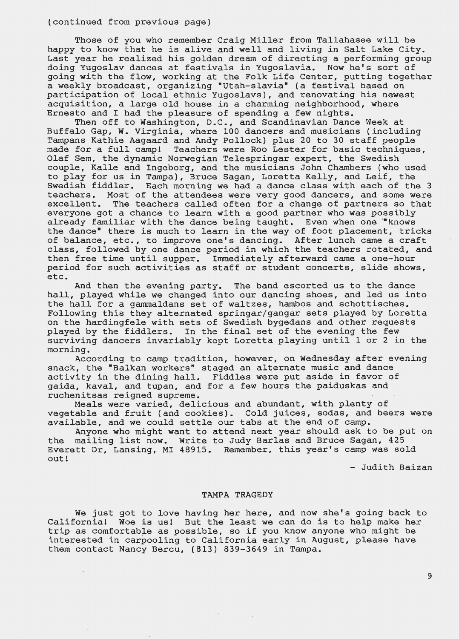(continued from previous page)

Those of you who remember Craig Miller from Tallahasee will be happy to know that he is alive and well and living in Salt Lake City. Last year he realized his golden dream of directing a performing group doing Yugoslav dances at festivals in Yugoslavia. Now he's sort of going with the flow, working at the Folk Life Center, putting together a weekly broadcast, organizing "Utah-slavia" (a festival based on participation of local ethnic Yugoslavs), and renovating his newest acquisition, a large old house in a charming neighborhood, where Ernesto and I had the pleasure of spending a few nights.

Then off to Washington, D.C., and Scandinavian Dance Week at Buffalo Gap, W. Virginia, where 100 dancers and musicians (including Tampans Kathie Aagaard and Andy Pollock) plus 20 to 30 staff people rampans nather hagaard and hid; refresh, pras is to so starr people made for a full camp! Teachers were Roo Lester for basic techniques, Olaf Sem, the dynamic Norwegian Telespringar expert, the Swedish couple, Kalle and Ingeborg, and the musicians John Chambers (who used to play for us in Tampa), Bruce Sagan, Loretta Kelly, and Leif, the Swedish fiddler. Each morning we had a dance class with each of the 3 teachers. Most of the attendees were very good dancers, and some were excellent. The teachers called often for a change of partners so that everyone got a chance to learn with a good partner who was possibly already familiar with the dance being taught. Even when one '"knows the dance" there is much to learn in the way of foot placement, tricks of balance, etc., to improve one's dancing. After lunch came a craft class, followed by one dance period in which the teachers rotated, and then free time until supper. Immediately afterward came a one-hour period for such activities as staff or student concerts, slide shows, etc.

And then the evening party. The band escorted us to the dance hall, played while we changed into our dancing shoes, and led us into the hall for a gammaldans set of waltzes, hambos and schottisches. Following this they alternated springar/gangar sets played by Loretta on the hardingfele with sets of Swedish bygedans and other requests played by the fiddlers. In the final set of the evening the few surviving dancers invariably kept Loretta playing until 1 or 2 in the morning.

According to camp tradition, however, on Wednesday after evening snack, the "Balkan workers" staged an alternate music and dance activity in the dining hall. Fiddles were put aside in favor of gaida, kaval, and tupan, and for a few hours the paiduskas and ruchenitsas reigned supreme.

Meals were varied, delicious and abundant, with plenty of vegetable and fruit (and cookies). Cold juices, sodas, and beers were available, and we could settle our tabs at the end of camp.

Anyone who might want to attend next year should ask to be put on the mailing list now. Write to Judy Barlas and Bruce Sagan, 425 Everett Dr, Lansing, MI 48915. Remember, this year's camp was sold out! - Judith Baizan

# TAMPA TRAGEDY

We just got to love having her here, and now she's going back to California! Woe is us! But the least we can do is to help make her trip as comfortable as possible, so if you know anyone who might be interested in carpooling to California early in August, please have them contact Nancy Bercu, (813) 839-3649 in Tampa.

 $\sim$   $\sim$